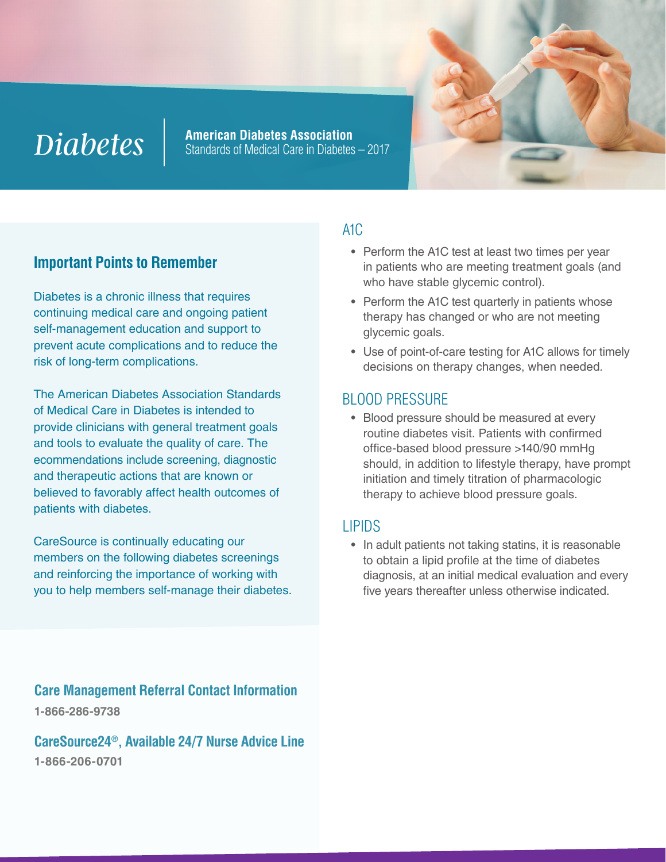# *Diabetes*

**American Diabetes Association** Standards of Medical Care in Diabetes – 2017

# **Important Points to Remember**

Diabetes is a chronic illness that requires continuing medical care and ongoing patient self-management education and support to prevent acute complications and to reduce the risk of long-term complications.

The American Diabetes Association Standards of Medical Care in Diabetes is intended to provide clinicians with general treatment goals and tools to evaluate the quality of care. The ecommendations include screening, diagnostic and therapeutic actions that are known or believed to favorably affect health outcomes of patients with diabetes.

CareSource is continually educating our members on the following diabetes screenings and reinforcing the importance of working with you to help members self-manage their diabetes.

**Care Management Referral Contact Information 1-866-286-9738**

**CareSource24®, Available 24/7 Nurse Advice Line 1-866-206-0701**

#### A1C

- Perform the A1C test at least two times per year in patients who are meeting treatment goals (and who have stable glycemic control).
- Perform the A1C test quarterly in patients whose therapy has changed or who are not meeting glycemic goals.
- Use of point-of-care testing for A1C allows for timely decisions on therapy changes, when needed.

### BLOOD PRESSURE

• Blood pressure should be measured at every routine diabetes visit. Patients with confirmed office-based blood pressure >140/90 mmHg should, in addition to lifestyle therapy, have prompt initiation and timely titration of pharmacologic therapy to achieve blood pressure goals.

#### LIPIDS

• In adult patients not taking statins, it is reasonable to obtain a lipid profile at the time of diabetes diagnosis, at an initial medical evaluation and every five years thereafter unless otherwise indicated.